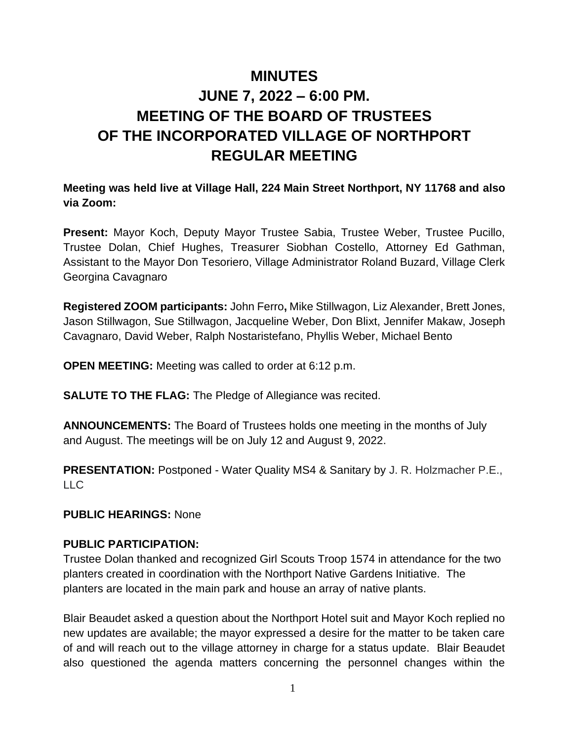# **MINUTES JUNE 7, 2022 – 6:00 PM. MEETING OF THE BOARD OF TRUSTEES OF THE INCORPORATED VILLAGE OF NORTHPORT REGULAR MEETING**

**Meeting was held live at Village Hall, 224 Main Street Northport, NY 11768 and also via Zoom:**

**Present:** Mayor Koch, Deputy Mayor Trustee Sabia, Trustee Weber, Trustee Pucillo, Trustee Dolan, Chief Hughes, Treasurer Siobhan Costello, Attorney Ed Gathman, Assistant to the Mayor Don Tesoriero, Village Administrator Roland Buzard, Village Clerk Georgina Cavagnaro

**Registered ZOOM participants:** John Ferro**,** Mike Stillwagon, Liz Alexander, Brett Jones, Jason Stillwagon, Sue Stillwagon, Jacqueline Weber, Don Blixt, Jennifer Makaw, Joseph Cavagnaro, David Weber, Ralph Nostaristefano, Phyllis Weber, Michael Bento

**OPEN MEETING:** Meeting was called to order at 6:12 p.m.

**SALUTE TO THE FLAG:** The Pledge of Allegiance was recited.

**ANNOUNCEMENTS:** The Board of Trustees holds one meeting in the months of July and August. The meetings will be on July 12 and August 9, 2022.

**PRESENTATION:** Postponed - Water Quality MS4 & Sanitary by J. R. Holzmacher P.E., LLC

#### **PUBLIC HEARINGS:** None

#### **PUBLIC PARTICIPATION:**

Trustee Dolan thanked and recognized Girl Scouts Troop 1574 in attendance for the two planters created in coordination with the Northport Native Gardens Initiative. The planters are located in the main park and house an array of native plants.

Blair Beaudet asked a question about the Northport Hotel suit and Mayor Koch replied no new updates are available; the mayor expressed a desire for the matter to be taken care of and will reach out to the village attorney in charge for a status update. Blair Beaudet also questioned the agenda matters concerning the personnel changes within the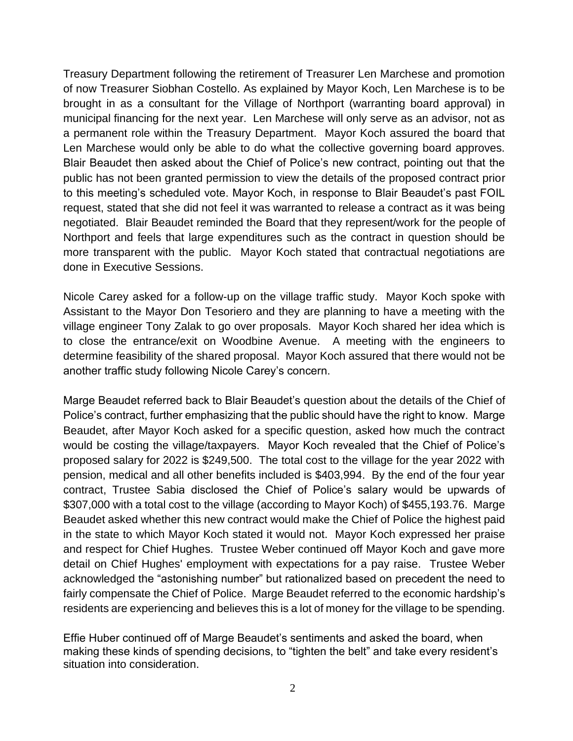Treasury Department following the retirement of Treasurer Len Marchese and promotion of now Treasurer Siobhan Costello. As explained by Mayor Koch, Len Marchese is to be brought in as a consultant for the Village of Northport (warranting board approval) in municipal financing for the next year. Len Marchese will only serve as an advisor, not as a permanent role within the Treasury Department. Mayor Koch assured the board that Len Marchese would only be able to do what the collective governing board approves. Blair Beaudet then asked about the Chief of Police's new contract, pointing out that the public has not been granted permission to view the details of the proposed contract prior to this meeting's scheduled vote. Mayor Koch, in response to Blair Beaudet's past FOIL request, stated that she did not feel it was warranted to release a contract as it was being negotiated. Blair Beaudet reminded the Board that they represent/work for the people of Northport and feels that large expenditures such as the contract in question should be more transparent with the public. Mayor Koch stated that contractual negotiations are done in Executive Sessions.

Nicole Carey asked for a follow-up on the village traffic study. Mayor Koch spoke with Assistant to the Mayor Don Tesoriero and they are planning to have a meeting with the village engineer Tony Zalak to go over proposals. Mayor Koch shared her idea which is to close the entrance/exit on Woodbine Avenue. A meeting with the engineers to determine feasibility of the shared proposal. Mayor Koch assured that there would not be another traffic study following Nicole Carey's concern.

Marge Beaudet referred back to Blair Beaudet's question about the details of the Chief of Police's contract, further emphasizing that the public should have the right to know. Marge Beaudet, after Mayor Koch asked for a specific question, asked how much the contract would be costing the village/taxpayers. Mayor Koch revealed that the Chief of Police's proposed salary for 2022 is \$249,500. The total cost to the village for the year 2022 with pension, medical and all other benefits included is \$403,994. By the end of the four year contract, Trustee Sabia disclosed the Chief of Police's salary would be upwards of \$307,000 with a total cost to the village (according to Mayor Koch) of \$455,193.76. Marge Beaudet asked whether this new contract would make the Chief of Police the highest paid in the state to which Mayor Koch stated it would not. Mayor Koch expressed her praise and respect for Chief Hughes. Trustee Weber continued off Mayor Koch and gave more detail on Chief Hughes' employment with expectations for a pay raise. Trustee Weber acknowledged the "astonishing number" but rationalized based on precedent the need to fairly compensate the Chief of Police. Marge Beaudet referred to the economic hardship's residents are experiencing and believes this is a lot of money for the village to be spending.

Effie Huber continued off of Marge Beaudet's sentiments and asked the board, when making these kinds of spending decisions, to "tighten the belt" and take every resident's situation into consideration.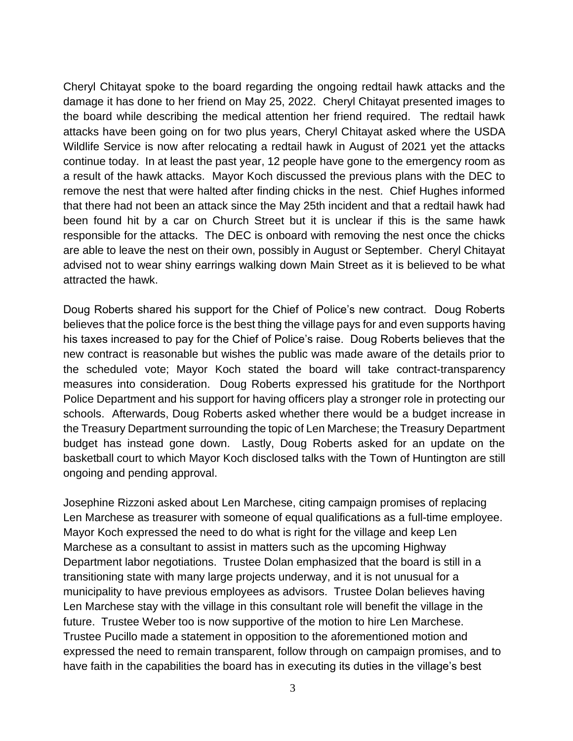Cheryl Chitayat spoke to the board regarding the ongoing redtail hawk attacks and the damage it has done to her friend on May 25, 2022. Cheryl Chitayat presented images to the board while describing the medical attention her friend required. The redtail hawk attacks have been going on for two plus years, Cheryl Chitayat asked where the USDA Wildlife Service is now after relocating a redtail hawk in August of 2021 yet the attacks continue today. In at least the past year, 12 people have gone to the emergency room as a result of the hawk attacks. Mayor Koch discussed the previous plans with the DEC to remove the nest that were halted after finding chicks in the nest. Chief Hughes informed that there had not been an attack since the May 25th incident and that a redtail hawk had been found hit by a car on Church Street but it is unclear if this is the same hawk responsible for the attacks. The DEC is onboard with removing the nest once the chicks are able to leave the nest on their own, possibly in August or September. Cheryl Chitayat advised not to wear shiny earrings walking down Main Street as it is believed to be what attracted the hawk.

Doug Roberts shared his support for the Chief of Police's new contract. Doug Roberts believes that the police force is the best thing the village pays for and even supports having his taxes increased to pay for the Chief of Police's raise. Doug Roberts believes that the new contract is reasonable but wishes the public was made aware of the details prior to the scheduled vote; Mayor Koch stated the board will take contract-transparency measures into consideration. Doug Roberts expressed his gratitude for the Northport Police Department and his support for having officers play a stronger role in protecting our schools. Afterwards, Doug Roberts asked whether there would be a budget increase in the Treasury Department surrounding the topic of Len Marchese; the Treasury Department budget has instead gone down. Lastly, Doug Roberts asked for an update on the basketball court to which Mayor Koch disclosed talks with the Town of Huntington are still ongoing and pending approval.

Josephine Rizzoni asked about Len Marchese, citing campaign promises of replacing Len Marchese as treasurer with someone of equal qualifications as a full-time employee. Mayor Koch expressed the need to do what is right for the village and keep Len Marchese as a consultant to assist in matters such as the upcoming Highway Department labor negotiations. Trustee Dolan emphasized that the board is still in a transitioning state with many large projects underway, and it is not unusual for a municipality to have previous employees as advisors. Trustee Dolan believes having Len Marchese stay with the village in this consultant role will benefit the village in the future. Trustee Weber too is now supportive of the motion to hire Len Marchese. Trustee Pucillo made a statement in opposition to the aforementioned motion and expressed the need to remain transparent, follow through on campaign promises, and to have faith in the capabilities the board has in executing its duties in the village's best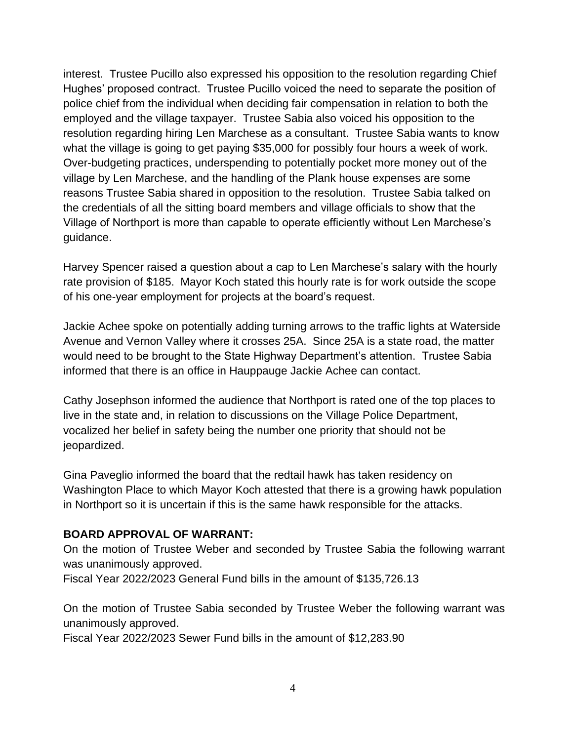interest. Trustee Pucillo also expressed his opposition to the resolution regarding Chief Hughes' proposed contract. Trustee Pucillo voiced the need to separate the position of police chief from the individual when deciding fair compensation in relation to both the employed and the village taxpayer. Trustee Sabia also voiced his opposition to the resolution regarding hiring Len Marchese as a consultant. Trustee Sabia wants to know what the village is going to get paying \$35,000 for possibly four hours a week of work. Over-budgeting practices, underspending to potentially pocket more money out of the village by Len Marchese, and the handling of the Plank house expenses are some reasons Trustee Sabia shared in opposition to the resolution. Trustee Sabia talked on the credentials of all the sitting board members and village officials to show that the Village of Northport is more than capable to operate efficiently without Len Marchese's guidance.

Harvey Spencer raised a question about a cap to Len Marchese's salary with the hourly rate provision of \$185. Mayor Koch stated this hourly rate is for work outside the scope of his one-year employment for projects at the board's request.

Jackie Achee spoke on potentially adding turning arrows to the traffic lights at Waterside Avenue and Vernon Valley where it crosses 25A. Since 25A is a state road, the matter would need to be brought to the State Highway Department's attention. Trustee Sabia informed that there is an office in Hauppauge Jackie Achee can contact.

Cathy Josephson informed the audience that Northport is rated one of the top places to live in the state and, in relation to discussions on the Village Police Department, vocalized her belief in safety being the number one priority that should not be jeopardized.

Gina Paveglio informed the board that the redtail hawk has taken residency on Washington Place to which Mayor Koch attested that there is a growing hawk population in Northport so it is uncertain if this is the same hawk responsible for the attacks.

#### **BOARD APPROVAL OF WARRANT:**

On the motion of Trustee Weber and seconded by Trustee Sabia the following warrant was unanimously approved.

Fiscal Year 2022/2023 General Fund bills in the amount of \$135,726.13

On the motion of Trustee Sabia seconded by Trustee Weber the following warrant was unanimously approved.

Fiscal Year 2022/2023 Sewer Fund bills in the amount of \$12,283.90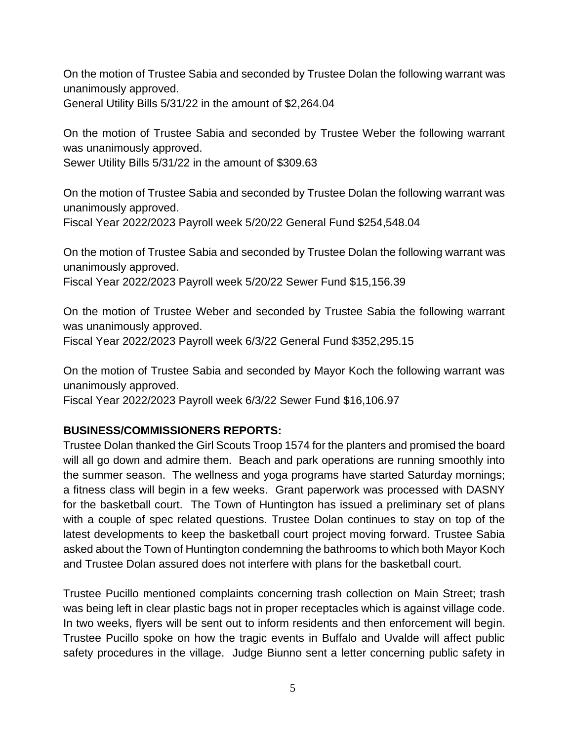On the motion of Trustee Sabia and seconded by Trustee Dolan the following warrant was unanimously approved. General Utility Bills 5/31/22 in the amount of \$2,264.04

On the motion of Trustee Sabia and seconded by Trustee Weber the following warrant was unanimously approved.

Sewer Utility Bills 5/31/22 in the amount of \$309.63

On the motion of Trustee Sabia and seconded by Trustee Dolan the following warrant was unanimously approved.

Fiscal Year 2022/2023 Payroll week 5/20/22 General Fund \$254,548.04

On the motion of Trustee Sabia and seconded by Trustee Dolan the following warrant was unanimously approved.

Fiscal Year 2022/2023 Payroll week 5/20/22 Sewer Fund \$15,156.39

On the motion of Trustee Weber and seconded by Trustee Sabia the following warrant was unanimously approved.

Fiscal Year 2022/2023 Payroll week 6/3/22 General Fund \$352,295.15

On the motion of Trustee Sabia and seconded by Mayor Koch the following warrant was unanimously approved.

Fiscal Year 2022/2023 Payroll week 6/3/22 Sewer Fund \$16,106.97

#### **BUSINESS/COMMISSIONERS REPORTS:**

Trustee Dolan thanked the Girl Scouts Troop 1574 for the planters and promised the board will all go down and admire them. Beach and park operations are running smoothly into the summer season. The wellness and yoga programs have started Saturday mornings; a fitness class will begin in a few weeks. Grant paperwork was processed with DASNY for the basketball court. The Town of Huntington has issued a preliminary set of plans with a couple of spec related questions. Trustee Dolan continues to stay on top of the latest developments to keep the basketball court project moving forward. Trustee Sabia asked about the Town of Huntington condemning the bathrooms to which both Mayor Koch and Trustee Dolan assured does not interfere with plans for the basketball court.

Trustee Pucillo mentioned complaints concerning trash collection on Main Street; trash was being left in clear plastic bags not in proper receptacles which is against village code. In two weeks, flyers will be sent out to inform residents and then enforcement will begin. Trustee Pucillo spoke on how the tragic events in Buffalo and Uvalde will affect public safety procedures in the village. Judge Biunno sent a letter concerning public safety in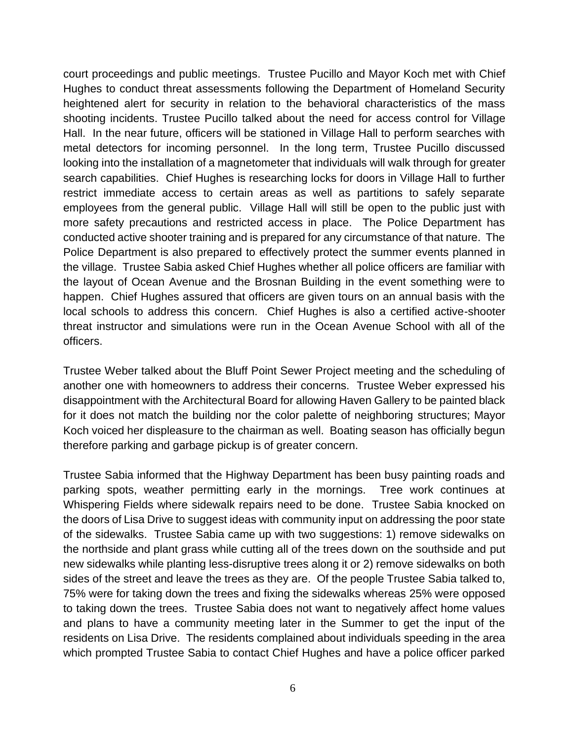court proceedings and public meetings. Trustee Pucillo and Mayor Koch met with Chief Hughes to conduct threat assessments following the Department of Homeland Security heightened alert for security in relation to the behavioral characteristics of the mass shooting incidents. Trustee Pucillo talked about the need for access control for Village Hall. In the near future, officers will be stationed in Village Hall to perform searches with metal detectors for incoming personnel. In the long term, Trustee Pucillo discussed looking into the installation of a magnetometer that individuals will walk through for greater search capabilities. Chief Hughes is researching locks for doors in Village Hall to further restrict immediate access to certain areas as well as partitions to safely separate employees from the general public. Village Hall will still be open to the public just with more safety precautions and restricted access in place. The Police Department has conducted active shooter training and is prepared for any circumstance of that nature. The Police Department is also prepared to effectively protect the summer events planned in the village. Trustee Sabia asked Chief Hughes whether all police officers are familiar with the layout of Ocean Avenue and the Brosnan Building in the event something were to happen. Chief Hughes assured that officers are given tours on an annual basis with the local schools to address this concern. Chief Hughes is also a certified active-shooter threat instructor and simulations were run in the Ocean Avenue School with all of the officers.

Trustee Weber talked about the Bluff Point Sewer Project meeting and the scheduling of another one with homeowners to address their concerns. Trustee Weber expressed his disappointment with the Architectural Board for allowing Haven Gallery to be painted black for it does not match the building nor the color palette of neighboring structures; Mayor Koch voiced her displeasure to the chairman as well. Boating season has officially begun therefore parking and garbage pickup is of greater concern.

Trustee Sabia informed that the Highway Department has been busy painting roads and parking spots, weather permitting early in the mornings. Tree work continues at Whispering Fields where sidewalk repairs need to be done. Trustee Sabia knocked on the doors of Lisa Drive to suggest ideas with community input on addressing the poor state of the sidewalks. Trustee Sabia came up with two suggestions: 1) remove sidewalks on the northside and plant grass while cutting all of the trees down on the southside and put new sidewalks while planting less-disruptive trees along it or 2) remove sidewalks on both sides of the street and leave the trees as they are. Of the people Trustee Sabia talked to, 75% were for taking down the trees and fixing the sidewalks whereas 25% were opposed to taking down the trees. Trustee Sabia does not want to negatively affect home values and plans to have a community meeting later in the Summer to get the input of the residents on Lisa Drive. The residents complained about individuals speeding in the area which prompted Trustee Sabia to contact Chief Hughes and have a police officer parked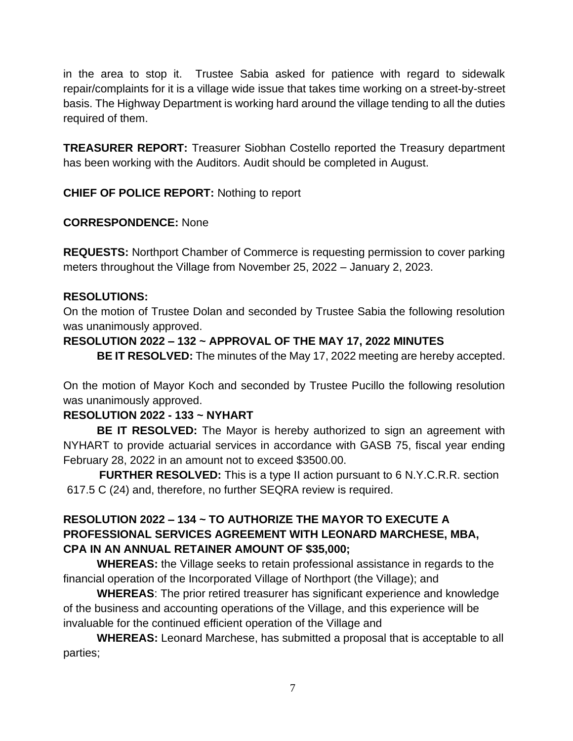in the area to stop it. Trustee Sabia asked for patience with regard to sidewalk repair/complaints for it is a village wide issue that takes time working on a street-by-street basis. The Highway Department is working hard around the village tending to all the duties required of them.

**TREASURER REPORT:** Treasurer Siobhan Costello reported the Treasury department has been working with the Auditors. Audit should be completed in August.

**CHIEF OF POLICE REPORT:** Nothing to report

## **CORRESPONDENCE:** None

**REQUESTS:** Northport Chamber of Commerce is requesting permission to cover parking meters throughout the Village from November 25, 2022 – January 2, 2023.

## **RESOLUTIONS:**

On the motion of Trustee Dolan and seconded by Trustee Sabia the following resolution was unanimously approved.

## **RESOLUTION 2022 – 132 ~ APPROVAL OF THE MAY 17, 2022 MINUTES**

**BE IT RESOLVED:** The minutes of the May 17, 2022 meeting are hereby accepted.

On the motion of Mayor Koch and seconded by Trustee Pucillo the following resolution was unanimously approved.

## **RESOLUTION 2022 - 133 ~ NYHART**

**BE IT RESOLVED:** The Mayor is hereby authorized to sign an agreement with NYHART to provide actuarial services in accordance with GASB 75, fiscal year ending February 28, 2022 in an amount not to exceed \$3500.00.

 **FURTHER RESOLVED:** This is a type II action pursuant to 6 N.Y.C.R.R. section 617.5 C (24) and, therefore, no further SEQRA review is required.

## **RESOLUTION 2022 – 134 ~ TO AUTHORIZE THE MAYOR TO EXECUTE A PROFESSIONAL SERVICES AGREEMENT WITH LEONARD MARCHESE, MBA, CPA IN AN ANNUAL RETAINER AMOUNT OF \$35,000;**

**WHEREAS:** the Village seeks to retain professional assistance in regards to the financial operation of the Incorporated Village of Northport (the Village); and

**WHEREAS**: The prior retired treasurer has significant experience and knowledge of the business and accounting operations of the Village, and this experience will be invaluable for the continued efficient operation of the Village and

**WHEREAS:** Leonard Marchese, has submitted a proposal that is acceptable to all parties;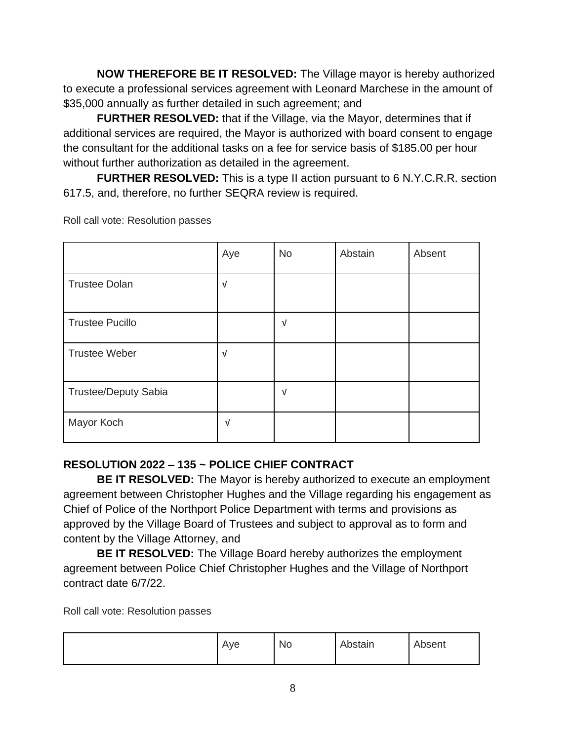**NOW THEREFORE BE IT RESOLVED:** The Village mayor is hereby authorized to execute a professional services agreement with Leonard Marchese in the amount of \$35,000 annually as further detailed in such agreement; and

**FURTHER RESOLVED:** that if the Village, via the Mayor, determines that if additional services are required, the Mayor is authorized with board consent to engage the consultant for the additional tasks on a fee for service basis of \$185.00 per hour without further authorization as detailed in the agreement.

**FURTHER RESOLVED:** This is a type II action pursuant to 6 N.Y.C.R.R. section 617.5, and, therefore, no further SEQRA review is required.

|                             | Aye        | <b>No</b>  | Abstain | Absent |
|-----------------------------|------------|------------|---------|--------|
| <b>Trustee Dolan</b>        | V          |            |         |        |
| <b>Trustee Pucillo</b>      |            | $\sqrt{ }$ |         |        |
| <b>Trustee Weber</b>        | $\sqrt{ }$ |            |         |        |
| <b>Trustee/Deputy Sabia</b> |            | $\sqrt{ }$ |         |        |
| Mayor Koch                  | ν          |            |         |        |

Roll call vote: Resolution passes

## **RESOLUTION 2022 – 135 ~ POLICE CHIEF CONTRACT**

**BE IT RESOLVED:** The Mayor is hereby authorized to execute an employment agreement between Christopher Hughes and the Village regarding his engagement as Chief of Police of the Northport Police Department with terms and provisions as approved by the Village Board of Trustees and subject to approval as to form and content by the Village Attorney, and

**BE IT RESOLVED:** The Village Board hereby authorizes the employment agreement between Police Chief Christopher Hughes and the Village of Northport contract date 6/7/22.

Roll call vote: Resolution passes

|  | Aye | <b>No</b> | Abstain | Absent |
|--|-----|-----------|---------|--------|
|--|-----|-----------|---------|--------|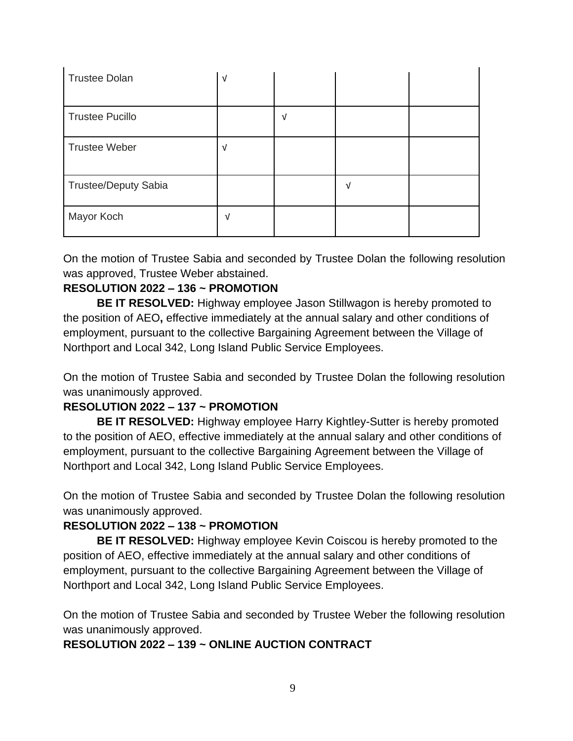| <b>Trustee Dolan</b>        | ν |   |   |  |
|-----------------------------|---|---|---|--|
| <b>Trustee Pucillo</b>      |   | ν |   |  |
| <b>Trustee Weber</b>        | V |   |   |  |
| <b>Trustee/Deputy Sabia</b> |   |   | V |  |
| Mayor Koch                  | ν |   |   |  |

On the motion of Trustee Sabia and seconded by Trustee Dolan the following resolution was approved, Trustee Weber abstained.

#### **RESOLUTION 2022 – 136 ~ PROMOTION**

**BE IT RESOLVED:** Highway employee Jason Stillwagon is hereby promoted to the position of AEO**,** effective immediately at the annual salary and other conditions of employment, pursuant to the collective Bargaining Agreement between the Village of Northport and Local 342, Long Island Public Service Employees.

On the motion of Trustee Sabia and seconded by Trustee Dolan the following resolution was unanimously approved.

#### **RESOLUTION 2022 – 137 ~ PROMOTION**

**BE IT RESOLVED:** Highway employee Harry Kightley-Sutter is hereby promoted to the position of AEO, effective immediately at the annual salary and other conditions of employment, pursuant to the collective Bargaining Agreement between the Village of Northport and Local 342, Long Island Public Service Employees.

On the motion of Trustee Sabia and seconded by Trustee Dolan the following resolution was unanimously approved.

#### **RESOLUTION 2022 – 138 ~ PROMOTION**

**BE IT RESOLVED:** Highway employee Kevin Coiscou is hereby promoted to the position of AEO, effective immediately at the annual salary and other conditions of employment, pursuant to the collective Bargaining Agreement between the Village of Northport and Local 342, Long Island Public Service Employees.

On the motion of Trustee Sabia and seconded by Trustee Weber the following resolution was unanimously approved.

#### **RESOLUTION 2022 – 139 ~ ONLINE AUCTION CONTRACT**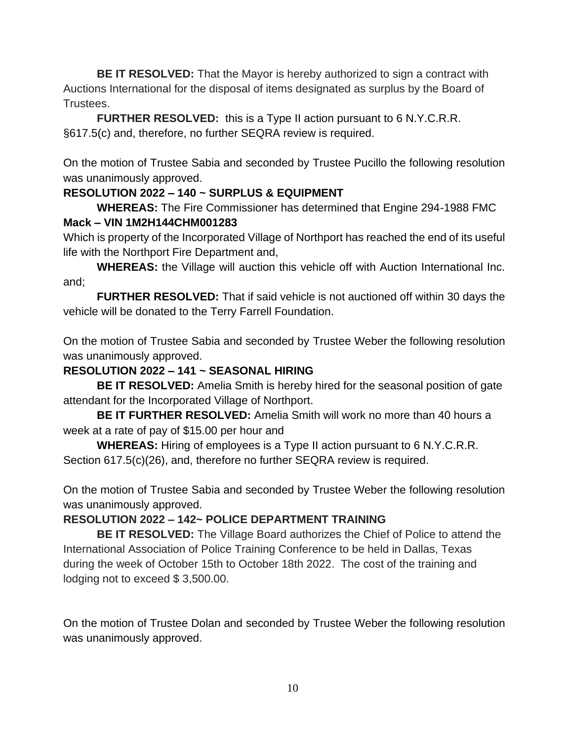**BE IT RESOLVED:** That the Mayor is hereby authorized to sign a contract with Auctions International for the disposal of items designated as surplus by the Board of Trustees.

**FURTHER RESOLVED:** this is a Type II action pursuant to 6 N.Y.C.R.R. §617.5(c) and, therefore, no further SEQRA review is required.

On the motion of Trustee Sabia and seconded by Trustee Pucillo the following resolution was unanimously approved.

## **RESOLUTION 2022 – 140 ~ SURPLUS & EQUIPMENT**

**WHEREAS:** The Fire Commissioner has determined that Engine 294-1988 FMC **Mack – VIN 1M2H144CHM001283**

Which is property of the Incorporated Village of Northport has reached the end of its useful life with the Northport Fire Department and,

**WHEREAS:** the Village will auction this vehicle off with Auction International Inc. and;

**FURTHER RESOLVED:** That if said vehicle is not auctioned off within 30 days the vehicle will be donated to the Terry Farrell Foundation.

On the motion of Trustee Sabia and seconded by Trustee Weber the following resolution was unanimously approved.

# **RESOLUTION 2022 – 141 ~ SEASONAL HIRING**

 **BE IT RESOLVED:** Amelia Smith is hereby hired for the seasonal position of gate attendant for the Incorporated Village of Northport.

 **BE IT FURTHER RESOLVED:** Amelia Smith will work no more than 40 hours a week at a rate of pay of \$15.00 per hour and

**WHEREAS:** Hiring of employees is a Type II action pursuant to 6 N.Y.C.R.R. Section 617.5(c)(26), and, therefore no further SEQRA review is required.

On the motion of Trustee Sabia and seconded by Trustee Weber the following resolution was unanimously approved.

# **RESOLUTION 2022 – 142~ POLICE DEPARTMENT TRAINING**

**BE IT RESOLVED:** The Village Board authorizes the Chief of Police to attend the International Association of Police Training Conference to be held in Dallas, Texas during the week of October 15th to October 18th 2022. The cost of the training and lodging not to exceed \$ 3,500.00.

On the motion of Trustee Dolan and seconded by Trustee Weber the following resolution was unanimously approved.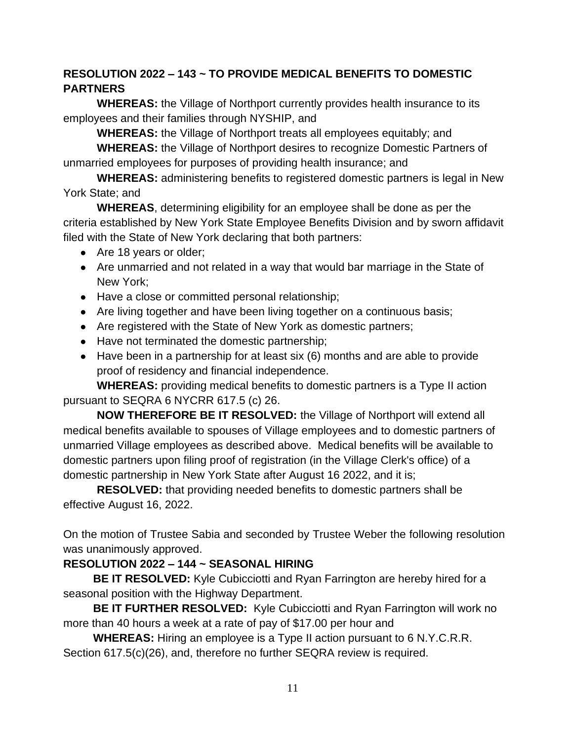## **RESOLUTION 2022 – 143 ~ TO PROVIDE MEDICAL BENEFITS TO DOMESTIC PARTNERS**

**WHEREAS:** the Village of Northport currently provides health insurance to its employees and their families through NYSHIP, and

**WHEREAS:** the Village of Northport treats all employees equitably; and

**WHEREAS:** the Village of Northport desires to recognize Domestic Partners of unmarried employees for purposes of providing health insurance; and

**WHEREAS:** administering benefits to registered domestic partners is legal in New York State; and

**WHEREAS**, determining eligibility for an employee shall be done as per the criteria established by New York State Employee Benefits Division and by sworn affidavit filed with the State of New York declaring that both partners:

- Are 18 years or older;
- Are unmarried and not related in a way that would bar marriage in the State of New York;
- Have a close or committed personal relationship;
- Are living together and have been living together on a continuous basis;
- Are registered with the State of New York as domestic partners;
- Have not terminated the domestic partnership;
- Have been in a partnership for at least six (6) months and are able to provide proof of residency and financial independence.

**WHEREAS:** providing medical benefits to domestic partners is a Type II action pursuant to SEQRA 6 NYCRR 617.5 (c) 26.

**NOW THEREFORE BE IT RESOLVED:** the Village of Northport will extend all medical benefits available to spouses of Village employees and to domestic partners of unmarried Village employees as described above. Medical benefits will be available to domestic partners upon filing proof of registration (in the Village Clerk's office) of a domestic partnership in New York State after August 16 2022, and it is;

**RESOLVED:** that providing needed benefits to domestic partners shall be effective August 16, 2022.

On the motion of Trustee Sabia and seconded by Trustee Weber the following resolution was unanimously approved.

#### **RESOLUTION 2022 – 144 ~ SEASONAL HIRING**

**BE IT RESOLVED:** Kyle Cubicciotti and Ryan Farrington are hereby hired for a seasonal position with the Highway Department.

**BE IT FURTHER RESOLVED:** Kyle Cubicciotti and Ryan Farrington will work no more than 40 hours a week at a rate of pay of \$17.00 per hour and

**WHEREAS:** Hiring an employee is a Type II action pursuant to 6 N.Y.C.R.R. Section 617.5(c)(26), and, therefore no further SEQRA review is required.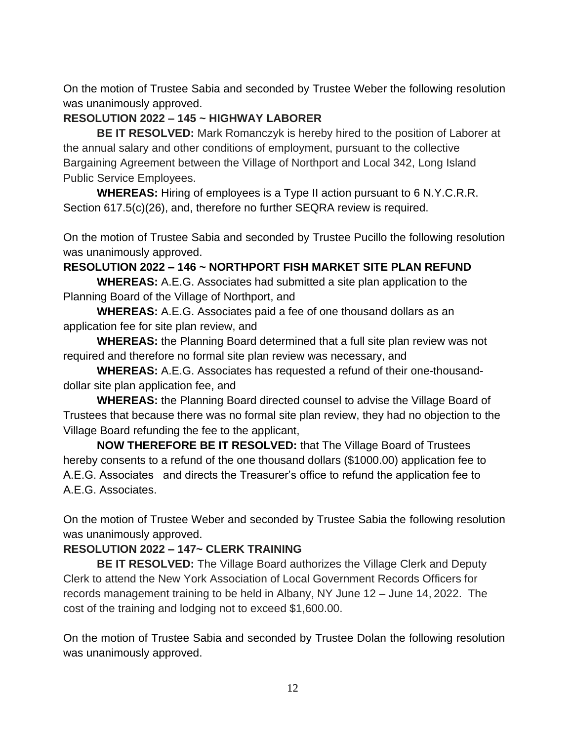On the motion of Trustee Sabia and seconded by Trustee Weber the following resolution was unanimously approved.

#### **RESOLUTION 2022 – 145 ~ HIGHWAY LABORER**

**BE IT RESOLVED:** Mark Romanczyk is hereby hired to the position of Laborer at the annual salary and other conditions of employment, pursuant to the collective Bargaining Agreement between the Village of Northport and Local 342, Long Island Public Service Employees.

 **WHEREAS:** Hiring of employees is a Type II action pursuant to 6 N.Y.C.R.R. Section 617.5(c)(26), and, therefore no further SEQRA review is required.

On the motion of Trustee Sabia and seconded by Trustee Pucillo the following resolution was unanimously approved.

## **RESOLUTION 2022 – 146 ~ NORTHPORT FISH MARKET SITE PLAN REFUND**

**WHEREAS:** A.E.G. Associates had submitted a site plan application to the Planning Board of the Village of Northport, and

**WHEREAS:** A.E.G. Associates paid a fee of one thousand dollars as an application fee for site plan review, and

**WHEREAS:** the Planning Board determined that a full site plan review was not required and therefore no formal site plan review was necessary, and

**WHEREAS:** A.E.G. Associates has requested a refund of their one-thousanddollar site plan application fee, and

**WHEREAS:** the Planning Board directed counsel to advise the Village Board of Trustees that because there was no formal site plan review, they had no objection to the Village Board refunding the fee to the applicant,

**NOW THEREFORE BE IT RESOLVED:** that The Village Board of Trustees hereby consents to a refund of the one thousand dollars (\$1000.00) application fee to A.E.G. Associates and directs the Treasurer's office to refund the application fee to A.E.G. Associates.

On the motion of Trustee Weber and seconded by Trustee Sabia the following resolution was unanimously approved.

#### **RESOLUTION 2022 – 147~ CLERK TRAINING**

**BE IT RESOLVED:** The Village Board authorizes the Village Clerk and Deputy Clerk to attend the New York Association of Local Government Records Officers for records management training to be held in Albany, NY June 12 – June 14, 2022. The cost of the training and lodging not to exceed \$1,600.00.

On the motion of Trustee Sabia and seconded by Trustee Dolan the following resolution was unanimously approved.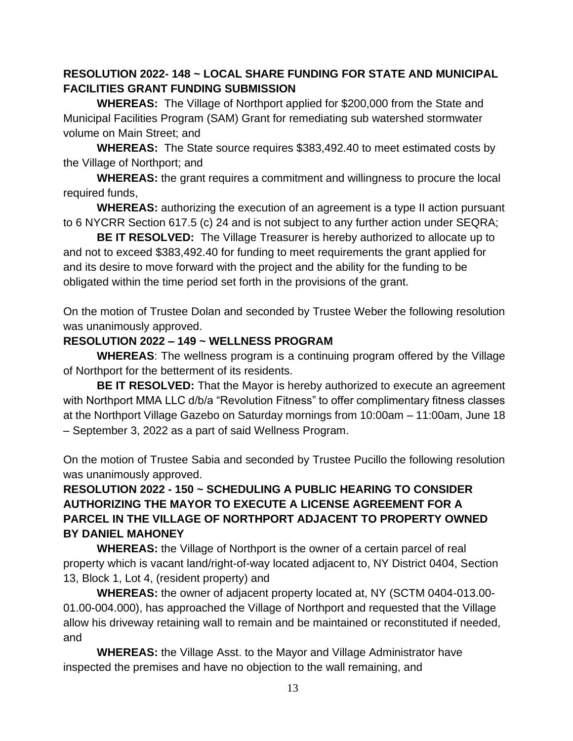## **RESOLUTION 2022- 148 ~ LOCAL SHARE FUNDING FOR STATE AND MUNICIPAL FACILITIES GRANT FUNDING SUBMISSION**

**WHEREAS:** The Village of Northport applied for \$200,000 from the State and Municipal Facilities Program (SAM) Grant for remediating sub watershed stormwater volume on Main Street; and

**WHEREAS:** The State source requires \$383,492.40 to meet estimated costs by the Village of Northport; and

**WHEREAS:** the grant requires a commitment and willingness to procure the local required funds,

**WHEREAS:** authorizing the execution of an agreement is a type II action pursuant to 6 NYCRR Section 617.5 (c) 24 and is not subject to any further action under SEQRA;

**BE IT RESOLVED:** The Village Treasurer is hereby authorized to allocate up to and not to exceed \$383,492.40 for funding to meet requirements the grant applied for and its desire to move forward with the project and the ability for the funding to be obligated within the time period set forth in the provisions of the grant.

On the motion of Trustee Dolan and seconded by Trustee Weber the following resolution was unanimously approved.

## **RESOLUTION 2022 – 149 ~ WELLNESS PROGRAM**

**WHEREAS**: The wellness program is a continuing program offered by the Village of Northport for the betterment of its residents.

**BE IT RESOLVED:** That the Mayor is hereby authorized to execute an agreement with Northport MMA LLC d/b/a "Revolution Fitness" to offer complimentary fitness classes at the Northport Village Gazebo on Saturday mornings from 10:00am – 11:00am, June 18 – September 3, 2022 as a part of said Wellness Program.

On the motion of Trustee Sabia and seconded by Trustee Pucillo the following resolution was unanimously approved.

## **RESOLUTION 2022 - 150 ~ SCHEDULING A PUBLIC HEARING TO CONSIDER AUTHORIZING THE MAYOR TO EXECUTE A LICENSE AGREEMENT FOR A PARCEL IN THE VILLAGE OF NORTHPORT ADJACENT TO PROPERTY OWNED BY DANIEL MAHONEY**

**WHEREAS:** the Village of Northport is the owner of a certain parcel of real property which is vacant land/right-of-way located adjacent to, NY District 0404, Section 13, Block 1, Lot 4, (resident property) and

**WHEREAS:** the owner of adjacent property located at, NY (SCTM 0404-013.00- 01.00-004.000), has approached the Village of Northport and requested that the Village allow his driveway retaining wall to remain and be maintained or reconstituted if needed, and

**WHEREAS:** the Village Asst. to the Mayor and Village Administrator have inspected the premises and have no objection to the wall remaining, and